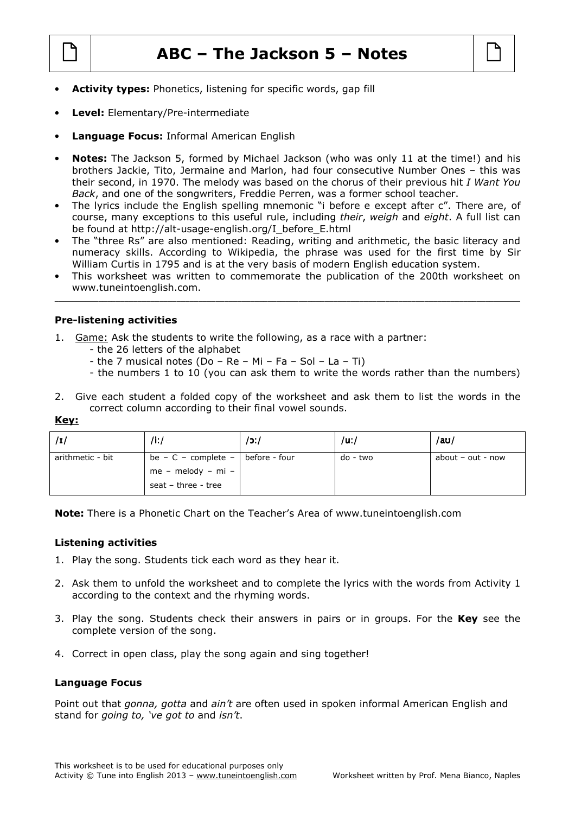## ABC – The Jackson 5 – Notes

- Activity types: Phonetics, listening for specific words, gap fill
- Level: Elementary/Pre-intermediate
- Language Focus: Informal American English
- Notes: The Jackson 5, formed by Michael Jackson (who was only 11 at the time!) and his brothers Jackie, Tito, Jermaine and Marlon, had four consecutive Number Ones – this was their second, in 1970. The melody was based on the chorus of their previous hit I Want You Back, and one of the songwriters, Freddie Perren, was a former school teacher.
- The lyrics include the English spelling mnemonic "i before e except after c". There are, of course, many exceptions to this useful rule, including their, weigh and eight. A full list can be found at http://alt-usage-english.org/I\_before\_E.html
- The "three Rs" are also mentioned: Reading, writing and arithmetic, the basic literacy and numeracy skills. According to Wikipedia, the phrase was used for the first time by Sir William Curtis in 1795 and is at the very basis of modern English education system.
- This worksheet was written to commemorate the publication of the 200th worksheet on www.tuneintoenglish.com.

\_\_\_\_\_\_\_\_\_\_\_\_\_\_\_\_\_\_\_\_\_\_\_\_\_\_\_\_\_\_\_\_\_\_\_\_\_\_\_\_\_\_\_\_\_\_\_\_\_\_\_\_\_\_\_\_\_\_\_\_\_\_\_\_\_\_\_\_\_\_\_\_\_\_\_\_\_\_\_\_\_\_\_\_\_\_\_\_\_\_\_\_\_\_\_\_\_\_\_\_\_\_\_\_\_\_\_

## Pre-listening activities

- 1. Game: Ask the students to write the following, as a race with a partner:
	- the 26 letters of the alphabet
	- the 7 musical notes (Do Re Mi Fa Sol La Ti)
	- the numbers 1 to 10 (you can ask them to write the words rather than the numbers)
- 2. Give each student a folded copy of the worksheet and ask them to list the words in the correct column according to their final vowel sounds.

## Key:

| $\mathbf{I}$     | /i:/                                           | /:כ | /u:/     | /aʊ/              |
|------------------|------------------------------------------------|-----|----------|-------------------|
| arithmetic - bit | be $-$ C $-$ complete $ \vert$ before $-$ four |     | do - two | about - out - now |
|                  | $me -$ melody $-$ mi $-$                       |     |          |                   |
|                  | seat - three - tree                            |     |          |                   |

Note: There is a Phonetic Chart on the Teacher's Area of www.tuneintoenglish.com

## Listening activities

- 1. Play the song. Students tick each word as they hear it.
- 2. Ask them to unfold the worksheet and to complete the lyrics with the words from Activity 1 according to the context and the rhyming words.
- 3. Play the song. Students check their answers in pairs or in groups. For the **Key** see the complete version of the song.
- 4. Correct in open class, play the song again and sing together!

## Language Focus

Point out that gonna, gotta and ain't are often used in spoken informal American English and stand for going to, 've got to and isn't.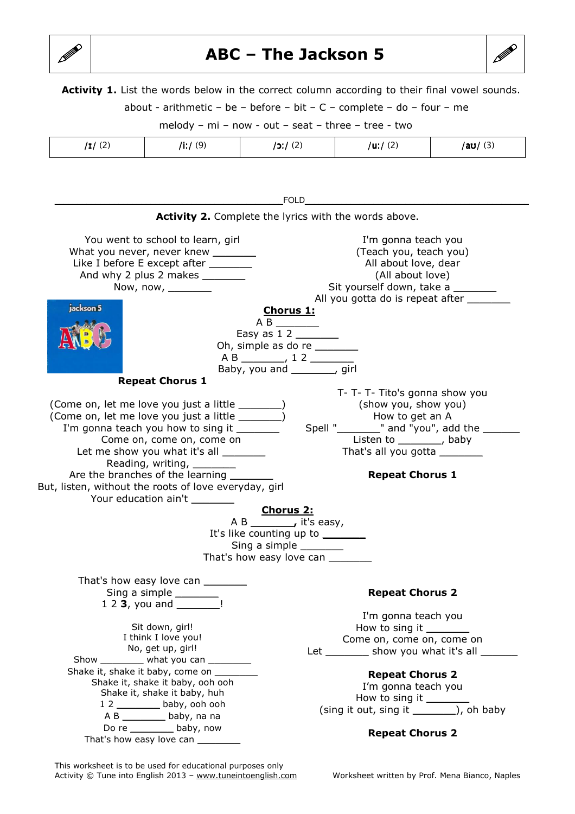

# ABC – The Jackson 5



Activity 1. List the words below in the correct column according to their final vowel sounds.

|  | about - arithmetic – be – before – bit – C – complete – do – four – me |
|--|------------------------------------------------------------------------|
|--|------------------------------------------------------------------------|

| melody – mi – now - out – seat – three – tree - two |                     |                   |          |            |  |  |
|-----------------------------------------------------|---------------------|-------------------|----------|------------|--|--|
| /I/(2)                                              | $/$ <b>i</b> :/ (9) | (2) /: <b>כ</b> / | /u:/ (2) | $/au/$ (3) |  |  |



This worksheet is to be used for educational purposes only Activity © Tune into English 2013 - www.tuneintoenglish.com Worksheet written by Prof. Mena Bianco, Naples